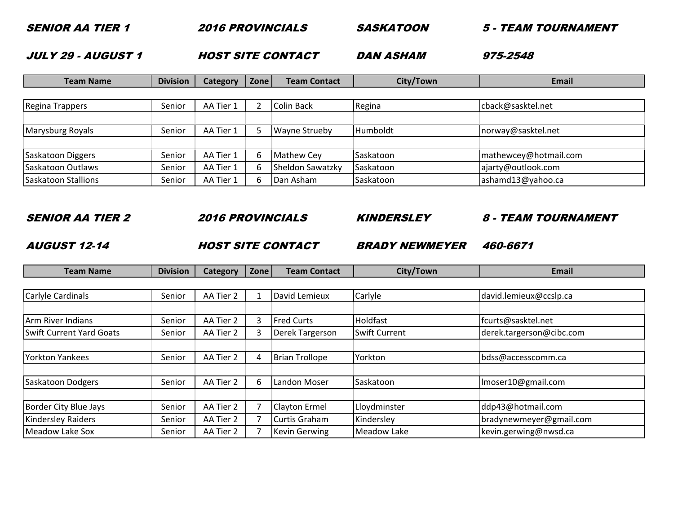| <b>JULY 29 - AUGUST 1</b> |                 |           |                             | <b>HOST SITE CONTACT</b> | <b>DAN ASHAM</b> | 975-2548              |
|---------------------------|-----------------|-----------|-----------------------------|--------------------------|------------------|-----------------------|
| <b>Team Name</b>          | <b>Division</b> | Category  | Zone<br><b>Team Contact</b> |                          | City/Town        | <b>Email</b>          |
|                           |                 |           |                             |                          |                  |                       |
| Regina Trappers           | Senior          | AA Tier 1 | 2                           | <b>Colin Back</b>        | Regina           | cback@sasktel.net     |
|                           |                 |           |                             |                          |                  |                       |
| Marysburg Royals          | Senior          | AA Tier 1 | 5                           | <b>Wayne Strueby</b>     | Humboldt         | norway@sasktel.net    |
|                           |                 |           |                             |                          |                  |                       |
| Saskatoon Diggers         | Senior          | AA Tier 1 | 6                           | <b>Mathew Cey</b>        | Saskatoon        | mathewcey@hotmail.com |
| Saskatoon Outlaws         | Senior          | AA Tier 1 | 6                           | Sheldon Sawatzky         | Saskatoon        | ajarty@outlook.com    |
| Saskatoon Stallions       | Senior          | AA Tier 1 | 6                           | Dan Asham                | Saskatoon        | ashamd13@yahoo.ca     |

## SENIOR AA TIER 2

SENIOR AA TIER 1

2016 PROVINCIALS

SASKATOON

2 2016 PROVINCIALS KINDERSLEY 8 - TEAM TOURNAMENT

5 - TEAM TOURNAMENT

AUGUST 12-14

A FIRE SITE CONTACT BRADY NEWMEYER

BRADY NEWMEYER 460-6671

| <b>Team Name</b>                | <b>Division</b> | <b>Category</b> | Zone | <b>Team Contact</b>   | City/Town            | Email                    |
|---------------------------------|-----------------|-----------------|------|-----------------------|----------------------|--------------------------|
|                                 |                 |                 |      |                       |                      |                          |
| Carlyle Cardinals               | Senior          | AA Tier 2       |      | David Lemieux         | Carlyle              | david.lemieux@ccslp.ca   |
|                                 |                 |                 |      |                       |                      |                          |
| Arm River Indians               | Senior          | AA Tier 2       | 3    | <b>Fred Curts</b>     | Holdfast             | fcurts@sasktel.net       |
| <b>Swift Current Yard Goats</b> | Senior          | AA Tier 2       | 3    | Derek Targerson       | <b>Swift Current</b> | derek.targerson@cibc.com |
|                                 |                 |                 |      |                       |                      |                          |
| <b>Yorkton Yankees</b>          | Senior          | AA Tier 2       | 4    | <b>Brian Trollope</b> | Yorkton              | bdss@accesscomm.ca       |
|                                 |                 |                 |      |                       |                      |                          |
| <b>Saskatoon Dodgers</b>        | Senior          | AA Tier 2       | 6    | Landon Moser          | Saskatoon            | Imoser10@gmail.com       |
|                                 |                 |                 |      |                       |                      |                          |
| <b>Border City Blue Jays</b>    | Senior          | AA Tier 2       |      | <b>Clayton Ermel</b>  | Lloydminster         | ddp43@hotmail.com        |
| <b>Kindersley Raiders</b>       | Senior          | AA Tier 2       |      | Curtis Graham         | Kindersley           | bradynewmeyer@gmail.com  |
| <b>Meadow Lake Sox</b>          | Senior          | AA Tier 2       |      | <b>Kevin Gerwing</b>  | Meadow Lake          | kevin.gerwing@nwsd.ca    |